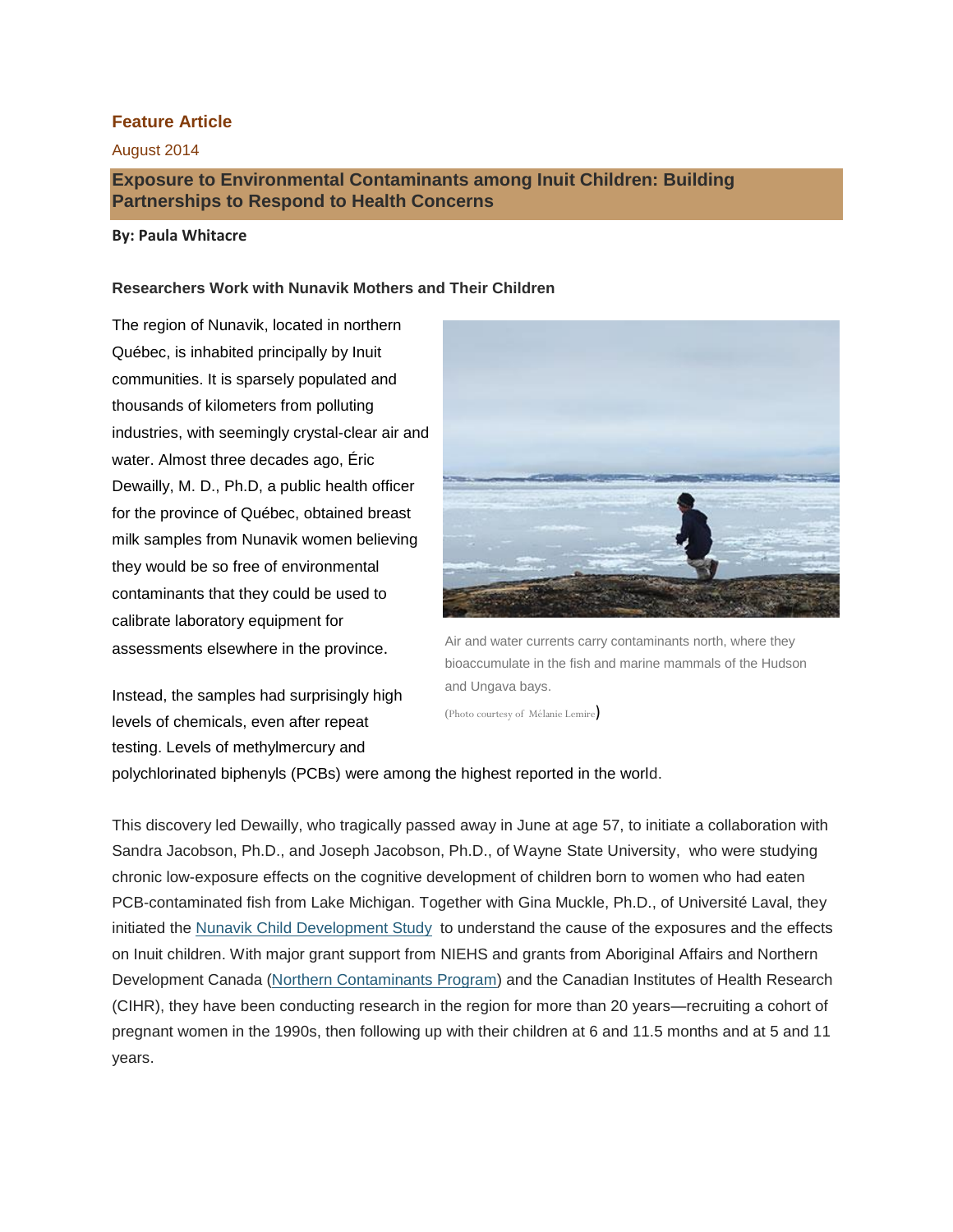## **Feature Article**

### August 2014

# **Exposure to Environmental Contaminants among Inuit Children: Building Partnerships to Respond to Health Concerns**

### **By: Paula Whitacre**

### **Researchers Work with Nunavik Mothers and Their Children**

The region of Nunavik, located in northern Québec, is inhabited principally by Inuit communities. It is sparsely populated and thousands of kilometers from polluting industries, with seemingly crystal-clear air and water. Almost three decades ago, Éric Dewailly, M. D., Ph.D, a public health officer for the province of Québec, obtained breast milk samples from Nunavik women believing they would be so free of environmental contaminants that they could be used to calibrate laboratory equipment for assessments elsewhere in the province.

Instead, the samples had surprisingly high levels of chemicals, even after repeat testing. Levels of methylmercury and



Air and water currents carry contaminants north, where they bioaccumulate in the fish and marine mammals of the Hudson and Ungava bays.

(Photo courtesy of Mélanie Lemire)

polychlorinated biphenyls (PCBs) were among the highest reported in the world.

This discovery led Dewailly, who tragically passed away in June at age 57, to initiate a collaboration with Sandra Jacobson, Ph.D., and Joseph Jacobson, Ph.D., of Wayne State University, who were studying chronic low-exposure effects on the cognitive development of children born to women who had eaten PCB-contaminated fish from Lake Michigan. Together with Gina Muckle, Ph.D., of Université Laval, they initiated the [Nunavik Child Development Study](http://www.rrsss17.gouv.qc.ca/index.php?option=com_content&view=article&id=191&Itemid=139&lang=en) to understand the cause of the exposures and the effects on Inuit children. With major grant support from NIEHS and grants from Aboriginal Affairs and Northern Development Canada [\(Northern Contaminants Program\)](https://www.aadnc-aandc.gc.ca/eng/1100100035611/1100100035612) and the Canadian Institutes of Health Research (CIHR), they have been conducting research in the region for more than 20 years—recruiting a cohort of pregnant women in the 1990s, then following up with their children at 6 and 11.5 months and at 5 and 11 years.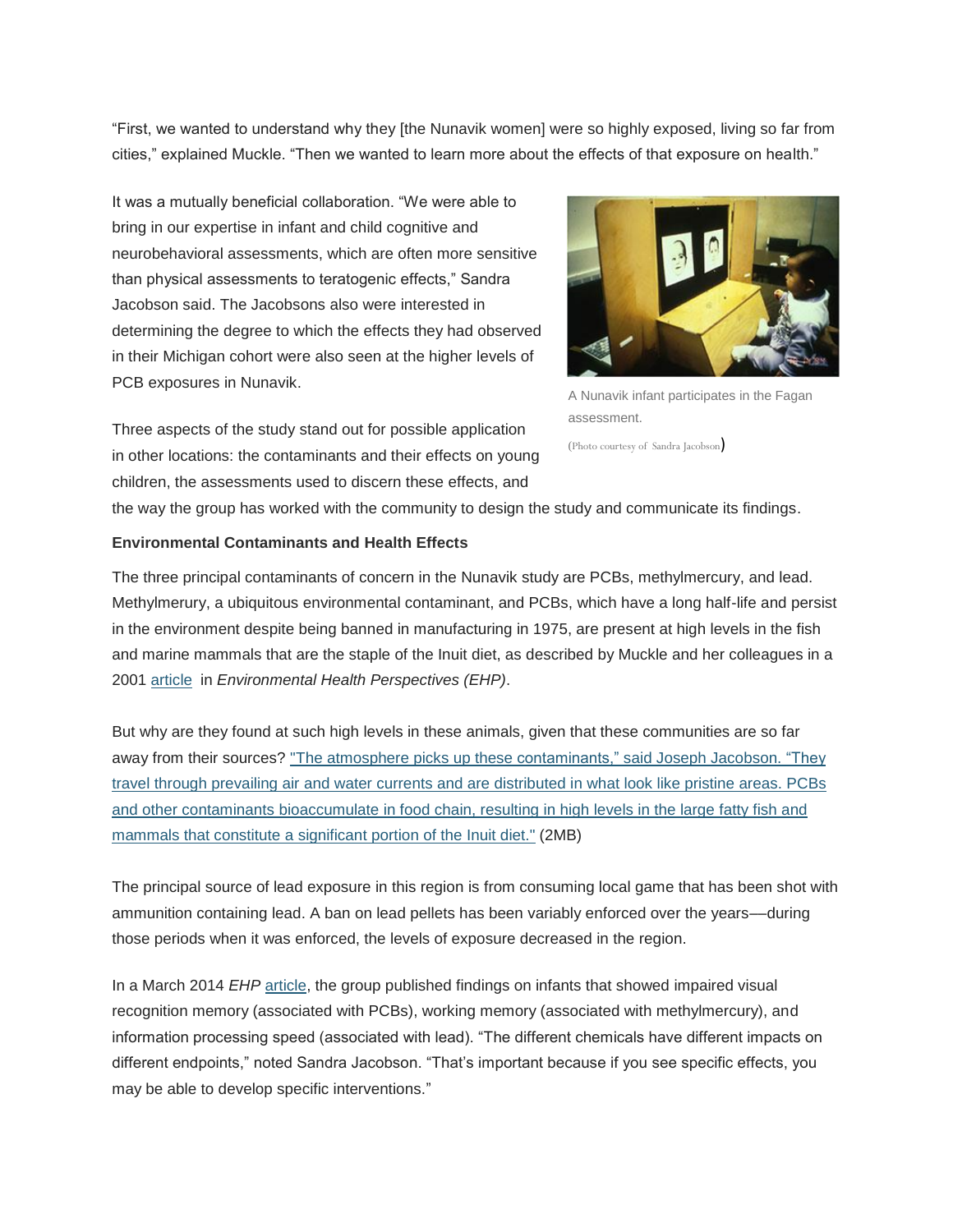"First, we wanted to understand why they [the Nunavik women] were so highly exposed, living so far from cities," explained Muckle. "Then we wanted to learn more about the effects of that exposure on health."

It was a mutually beneficial collaboration. "We were able to bring in our expertise in infant and child cognitive and neurobehavioral assessments, which are often more sensitive than physical assessments to teratogenic effects," Sandra Jacobson said. The Jacobsons also were interested in determining the degree to which the effects they had observed in their Michigan cohort were also seen at the higher levels of PCB exposures in Nunavik.

Three aspects of the study stand out for possible application in other locations: the contaminants and their effects on young children, the assessments used to discern these effects, and



A Nunavik infant participates in the Fagan assessment.

(Photo courtesy of Sandra Jacobson)

the way the group has worked with the community to design the study and communicate its findings.

#### **Environmental Contaminants and Health Effects**

The three principal contaminants of concern in the Nunavik study are PCBs, methylmercury, and lead. Methylmerury, a ubiquitous environmental contaminant, and PCBs, which have a long half-life and persist in the environment despite being banned in manufacturing in 1975, are present at high levels in the fish and marine mammals that are the staple of the Inuit diet, as described by Muckle and her colleagues in a 2001 [article](http://www.ncbi.nlm.nih.gov/pmc/articles/PMC1240448/) in *Environmental Health Perspectives (EHP)*.

But why are they found at such high levels in these animals, given that these communities are so far away from their sources? ["The atmosphere picks up these contaminants," said Joseph Jacobson. "They](http://edit:9992/Rhythmyx/assembler/render?sys_contentid=728525&sys_revision=1&sys_folderid=728119&sys_context=0&sys_siteid=305&sys_variantid=655&sys_authtype=0) [travel through prevailing air and water currents and are distributed in what look like pristine areas. PCBs](http://edit:9992/Rhythmyx/assembler/render?sys_contentid=728525&sys_revision=1&sys_folderid=728119&sys_context=0&sys_siteid=305&sys_variantid=655&sys_authtype=0)  and [other contaminants bioaccumulate in food chain, resulting in high levels in](http://edit:9992/Rhythmyx/assembler/render?sys_contentid=728525&sys_revision=1&sys_folderid=728119&sys_context=0&sys_siteid=305&sys_variantid=655&sys_authtype=0) the large fatty fish and [mammals that constitute a significant portion of](http://edit:9992/Rhythmyx/assembler/render?sys_contentid=728525&sys_revision=1&sys_folderid=728119&sys_context=0&sys_siteid=305&sys_variantid=655&sys_authtype=0) the Inuit diet." (2MB)

The principal source of lead exposure in this region is from consuming local game that has been shot with ammunition containing lead. A ban on lead pellets has been variably enforced over the years––during those periods when it was enforced, the levels of exposure decreased in the region.

In a March 2014 *EHP* [article,](http://www.ncbi.nlm.nih.gov/pmc/articles/PMC1240448/) the group published findings on infants that showed impaired visual recognition memory (associated with PCBs), working memory (associated with methylmercury), and information processing speed (associated with lead). "The different chemicals have different impacts on different endpoints," noted Sandra Jacobson. "That's important because if you see specific effects, you may be able to develop specific interventions."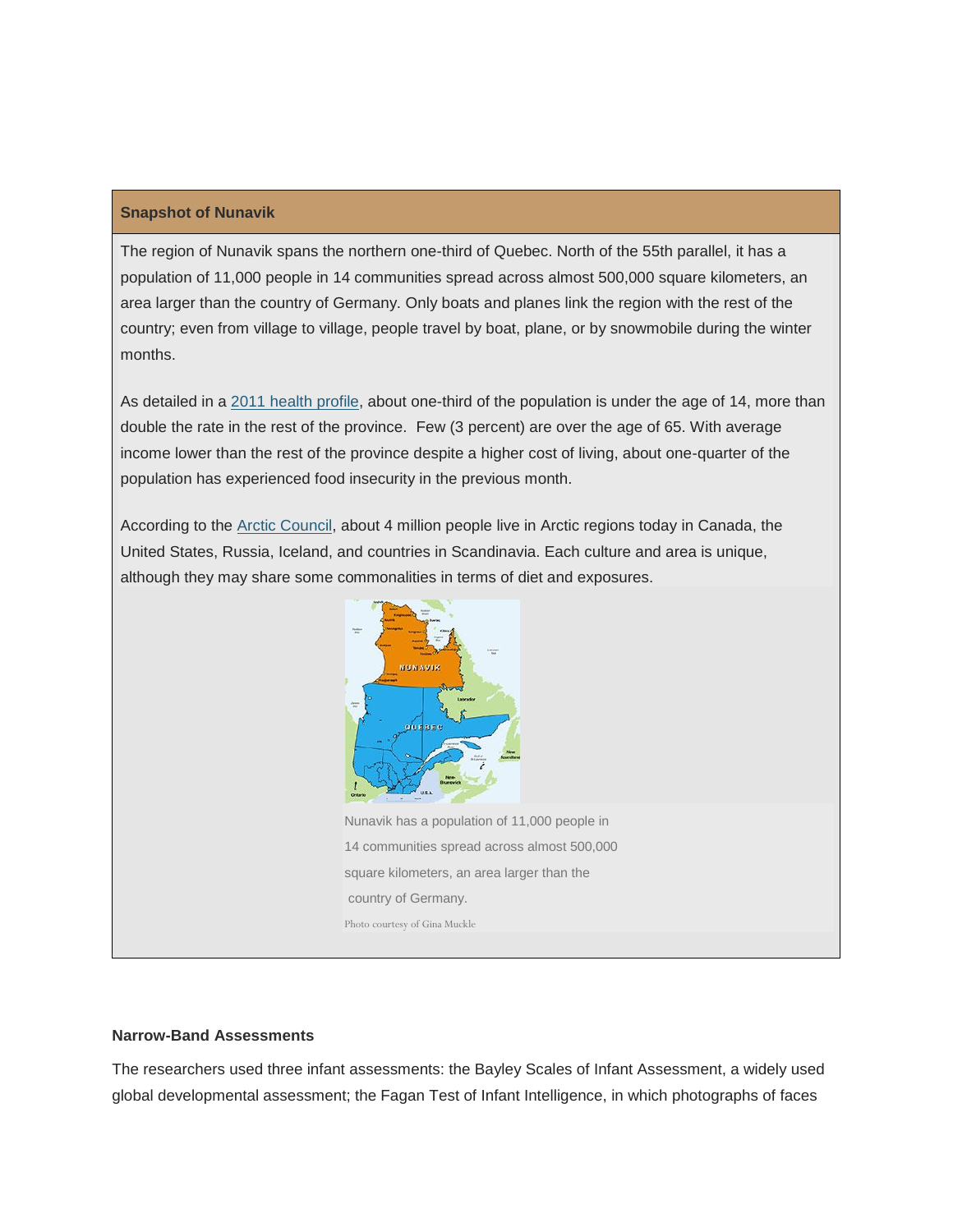### **Snapshot of Nunavik**

The region of Nunavik spans the northern one-third of Quebec. North of the 55th parallel, it has a population of 11,000 people in 14 communities spread across almost 500,000 square kilometers, an area larger than the country of Germany. Only boats and planes link the region with the rest of the country; even from village to village, people travel by boat, plane, or by snowmobile during the winter months.

As detailed in a 2011 health [profile,](http://www.rrsss17.gouv.qc.ca/index.php?option=com_content&view=article&id=238&Itemid=145&lang=en) about one-third of the population is under the age of 14, more than double the rate in the rest of the province. Few (3 percent) are over the age of 65. With average income lower than the rest of the province despite a higher cost of living, about one-quarter of the population has experienced food insecurity in the previous month.

According to the **Arctic Council**, about 4 million people live in Arctic regions today in Canada, the United States, Russia, Iceland, and countries in Scandinavia. Each culture and area is unique, although they may share some commonalities in terms of diet and exposures.



Nunavik has a population of 11,000 people in 14 communities spread across almost 500,000 square kilometers, an area larger than the country of Germany. Photo courtesy of Gina Muckle

#### **Narrow-Band Assessments**

The researchers used three infant assessments: the Bayley Scales of Infant Assessment, a widely used global developmental assessment; the Fagan Test of Infant Intelligence, in which photographs of faces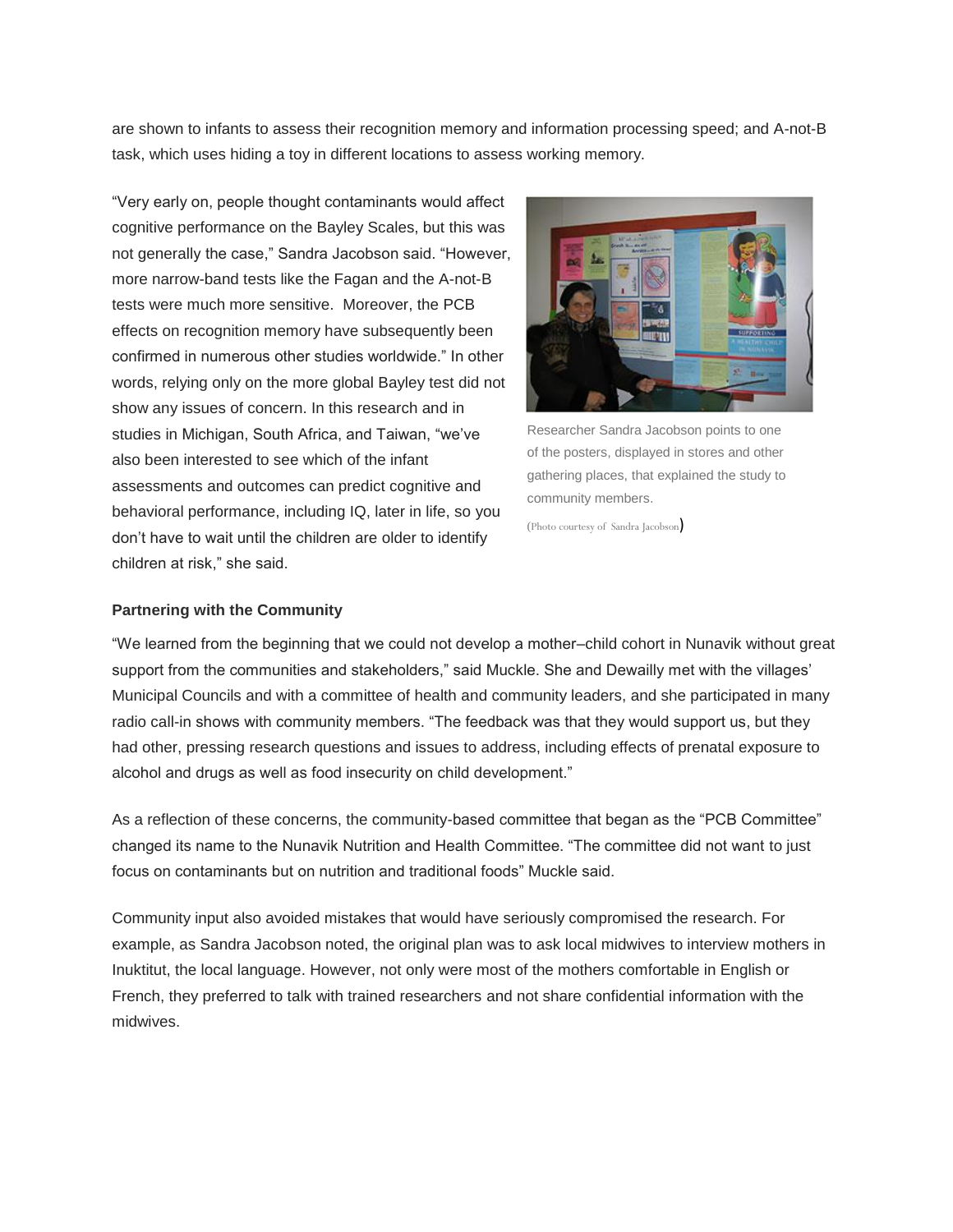are shown to infants to assess their recognition memory and information processing speed; and A-not-B task, which uses hiding a toy in different locations to assess working memory.

"Very early on, people thought contaminants would affect cognitive performance on the Bayley Scales, but this was not generally the case," Sandra Jacobson said. "However, more narrow-band tests like the Fagan and the A-not-B tests were much more sensitive. Moreover, the PCB effects on recognition memory have subsequently been confirmed in numerous other studies worldwide." In other words, relying only on the more global Bayley test did not show any issues of concern. In this research and in studies in Michigan, South Africa, and Taiwan, "we've also been interested to see which of the infant assessments and outcomes can predict cognitive and behavioral performance, including IQ, later in life, so you don't have to wait until the children are older to identify children at risk," she said.



Researcher Sandra Jacobson points to one of the posters, displayed in stores and other gathering places, that explained the study to community members.

(Photo courtesy of Sandra Jacobson)

#### **Partnering with the Community**

"We learned from the beginning that we could not develop a mother–child cohort in Nunavik without great support from the communities and stakeholders," said Muckle. She and Dewailly met with the villages' Municipal Councils and with a committee of health and community leaders, and she participated in many radio call-in shows with community members. "The feedback was that they would support us, but they had other, pressing research questions and issues to address, including effects of prenatal exposure to alcohol and drugs as well as food insecurity on child development."

As a reflection of these concerns, the community-based committee that began as the "PCB Committee" changed its name to the Nunavik Nutrition and Health Committee. "The committee did not want to just focus on contaminants but on nutrition and traditional foods" Muckle said.

Community input also avoided mistakes that would have seriously compromised the research. For example, as Sandra Jacobson noted, the original plan was to ask local midwives to interview mothers in Inuktitut, the local language. However, not only were most of the mothers comfortable in English or French, they preferred to talk with trained researchers and not share confidential information with the midwives.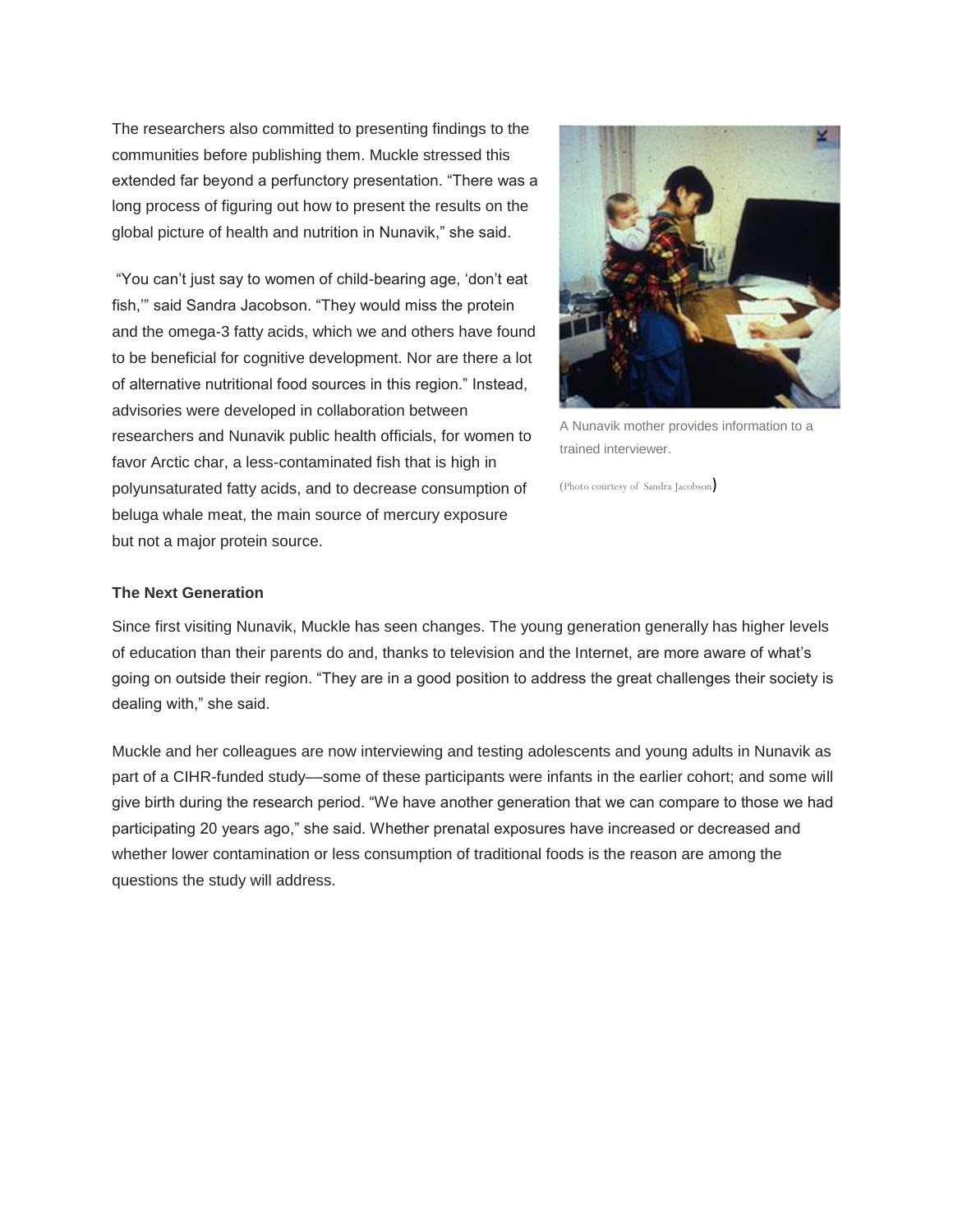The researchers also committed to presenting findings to the communities before publishing them. Muckle stressed this extended far beyond a perfunctory presentation. "There was a long process of figuring out how to present the results on the global picture of health and nutrition in Nunavik," she said.

"You can't just say to women of child-bearing age, 'don't eat fish,'" said Sandra Jacobson. "They would miss the protein and the omega-3 fatty acids, which we and others have found to be beneficial for cognitive development. Nor are there a lot of alternative nutritional food sources in this region." Instead, advisories were developed in collaboration between researchers and Nunavik public health officials, for women to favor Arctic char, a less-contaminated fish that is high in polyunsaturated fatty acids, and to decrease consumption of beluga whale meat, the main source of mercury exposure but not a major protein source.



A Nunavik mother provides information to a trained interviewer.

(Photo courtesy of Sandra Jacobson)

### **The Next Generation**

Since first visiting Nunavik, Muckle has seen changes. The young generation generally has higher levels of education than their parents do and, thanks to television and the Internet, are more aware of what's going on outside their region. "They are in a good position to address the great challenges their society is dealing with," she said.

Muckle and her colleagues are now interviewing and testing adolescents and young adults in Nunavik as part of a CIHR-funded study––some of these participants were infants in the earlier cohort; and some will give birth during the research period. "We have another generation that we can compare to those we had participating 20 years ago," she said. Whether prenatal exposures have increased or decreased and whether lower contamination or less consumption of traditional foods is the reason are among the questions the study will address.